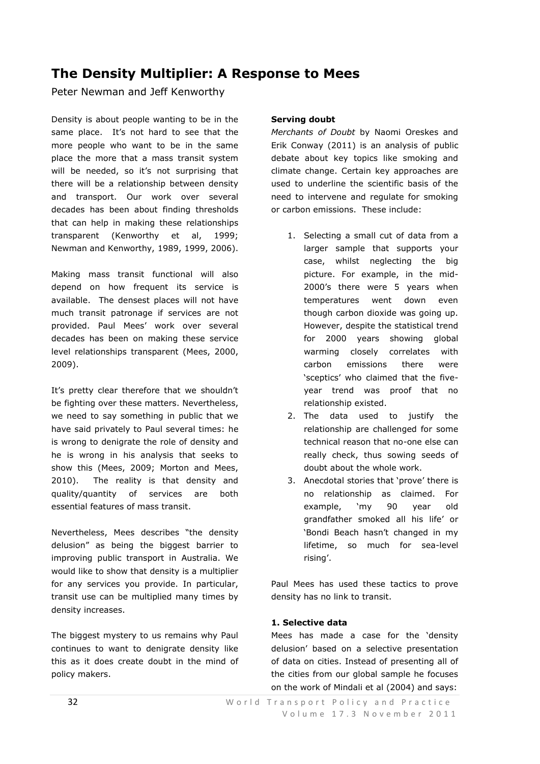# **The Density Multiplier: A Response to Mees**

Peter Newman and Jeff Kenworthy

Density is about people wanting to be in the same place. It's not hard to see that the more people who want to be in the same place the more that a mass transit system will be needed, so it's not surprising that there will be a relationship between density and transport. Our work over several decades has been about finding thresholds that can help in making these relationships transparent (Kenworthy et al, 1999; Newman and Kenworthy, 1989, 1999, 2006).

Making mass transit functional will also depend on how frequent its service is available. The densest places will not have much transit patronage if services are not provided. Paul Mees' work over several decades has been on making these service level relationships transparent (Mees, 2000, 2009).

It's pretty clear therefore that we shouldn't be fighting over these matters. Nevertheless, we need to say something in public that we have said privately to Paul several times: he is wrong to denigrate the role of density and he is wrong in his analysis that seeks to show this (Mees, 2009; Morton and Mees, 2010). The reality is that density and quality/quantity of services are both essential features of mass transit.

Nevertheless, Mees describes "the density delusion" as being the biggest barrier to improving public transport in Australia. We would like to show that density is a multiplier for any services you provide. In particular, transit use can be multiplied many times by density increases.

The biggest mystery to us remains why Paul continues to want to denigrate density like this as it does create doubt in the mind of policy makers.

# **Serving doubt**

*Merchants of Doubt* by Naomi Oreskes and Erik Conway (2011) is an analysis of public debate about key topics like smoking and climate change. Certain key approaches are used to underline the scientific basis of the need to intervene and regulate for smoking or carbon emissions. These include:

- 1. Selecting a small cut of data from a larger sample that supports your case, whilst neglecting the big picture. For example, in the mid-2000's there were 5 years when temperatures went down even though carbon dioxide was going up. However, despite the statistical trend for 2000 years showing global warming closely correlates with carbon emissions there were ‗sceptics' who claimed that the fiveyear trend was proof that no relationship existed.
- 2. The data used to justify the relationship are challenged for some technical reason that no-one else can really check, thus sowing seeds of doubt about the whole work.
- 3. Anecdotal stories that 'prove' there is no relationship as claimed. For example, 'my 90 year old grandfather smoked all his life' or ‗Bondi Beach hasn't changed in my lifetime, so much for sea-level rising'.

Paul Mees has used these tactics to prove density has no link to transit.

# **1. Selective data**

Mees has made a case for the 'density delusion' based on a selective presentation of data on cities. Instead of presenting all of the cities from our global sample he focuses on the work of Mindali et al (2004) and says: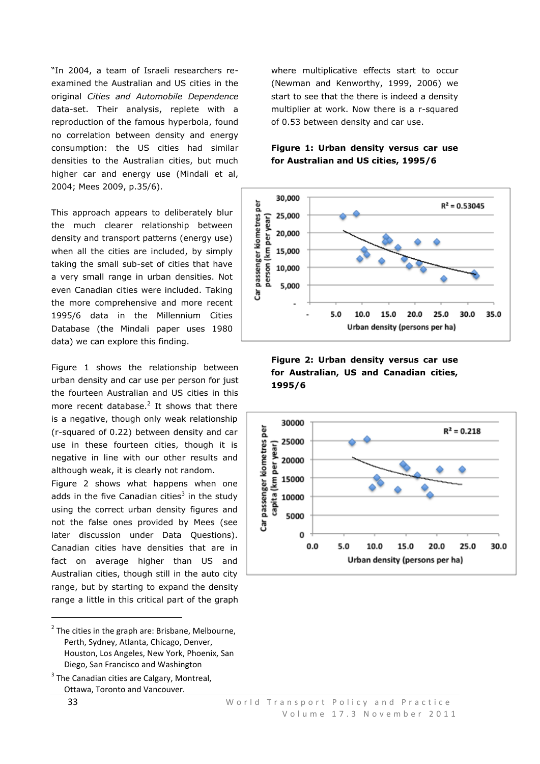"In 2004, a team of Israeli researchers reexamined the Australian and US cities in the original *Cities and Automobile Dependence*  data-set. Their analysis, replete with a reproduction of the famous hyperbola, found no correlation between density and energy consumption: the US cities had similar densities to the Australian cities, but much higher car and energy use (Mindali et al, 2004; Mees 2009, p.35/6).

This approach appears to deliberately blur the much clearer relationship between density and transport patterns (energy use) when all the cities are included, by simply taking the small sub-set of cities that have a very small range in urban densities. Not even Canadian cities were included. Taking the more comprehensive and more recent 1995/6 data in the Millennium Cities Database (the Mindali paper uses 1980 data) we can explore this finding.

Figure 1 shows the relationship between urban density and car use per person for just the fourteen Australian and US cities in this more recent database. $<sup>2</sup>$  It shows that there</sup> is a negative, though only weak relationship (r-squared of 0.22) between density and car use in these fourteen cities, though it is negative in line with our other results and although weak, it is clearly not random.

Figure 2 shows what happens when one adds in the five Canadian cities<sup>3</sup> in the study using the correct urban density figures and not the false ones provided by Mees (see later discussion under Data Questions). Canadian cities have densities that are in fact on average higher than US and Australian cities, though still in the auto city range, but by starting to expand the density range a little in this critical part of the graph

**.** 

where multiplicative effects start to occur (Newman and Kenworthy, 1999, 2006) we start to see that the there is indeed a density multiplier at work. Now there is a r-squared of 0.53 between density and car use.





## **Figure 2: Urban density versus car use for Australian, US and Canadian cities, 1995/6**



 $2$  The cities in the graph are: Brisbane, Melbourne, Perth, Sydney, Atlanta, Chicago, Denver, Houston, Los Angeles, New York, Phoenix, San Diego, San Francisco and Washington

<sup>&</sup>lt;sup>3</sup> The Canadian cities are Calgary, Montreal, Ottawa, Toronto and Vancouver.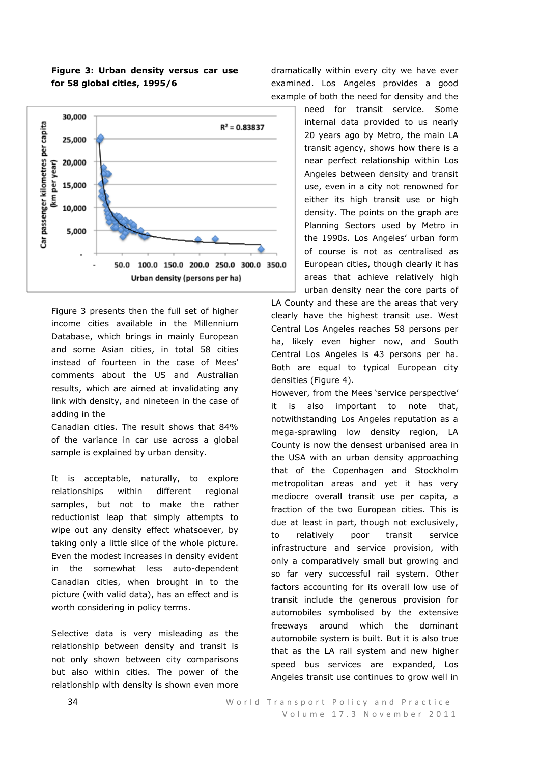## **Figure 3: Urban density versus car use for 58 global cities, 1995/6**



Figure 3 presents then the full set of higher income cities available in the Millennium Database, which brings in mainly European and some Asian cities, in total 58 cities instead of fourteen in the case of Mees' comments about the US and Australian results, which are aimed at invalidating any link with density, and nineteen in the case of adding in the

Canadian cities. The result shows that 84% of the variance in car use across a global sample is explained by urban density.

It is acceptable, naturally, to explore relationships within different regional samples, but not to make the rather reductionist leap that simply attempts to wipe out any density effect whatsoever, by taking only a little slice of the whole picture. Even the modest increases in density evident in the somewhat less auto-dependent Canadian cities, when brought in to the picture (with valid data), has an effect and is worth considering in policy terms.

Selective data is very misleading as the relationship between density and transit is not only shown between city comparisons but also within cities. The power of the relationship with density is shown even more

dramatically within every city we have ever examined. Los Angeles provides a good example of both the need for density and the

> need for transit service. Some internal data provided to us nearly 20 years ago by Metro, the main LA transit agency, shows how there is a near perfect relationship within Los Angeles between density and transit use, even in a city not renowned for either its high transit use or high density. The points on the graph are Planning Sectors used by Metro in the 1990s. Los Angeles' urban form of course is not as centralised as European cities, though clearly it has areas that achieve relatively high urban density near the core parts of

LA County and these are the areas that very clearly have the highest transit use. West Central Los Angeles reaches 58 persons per ha, likely even higher now, and South Central Los Angeles is 43 persons per ha. Both are equal to typical European city densities (Figure 4).

However, from the Mees 'service perspective' it is also important to note that, notwithstanding Los Angeles reputation as a mega-sprawling low density region, LA County is now the densest urbanised area in the USA with an urban density approaching that of the Copenhagen and Stockholm metropolitan areas and yet it has very mediocre overall transit use per capita, a fraction of the two European cities. This is due at least in part, though not exclusively, to relatively poor transit service infrastructure and service provision, with only a comparatively small but growing and so far very successful rail system. Other factors accounting for its overall low use of transit include the generous provision for automobiles symbolised by the extensive freeways around which the dominant automobile system is built. But it is also true that as the LA rail system and new higher speed bus services are expanded, Los Angeles transit use continues to grow well in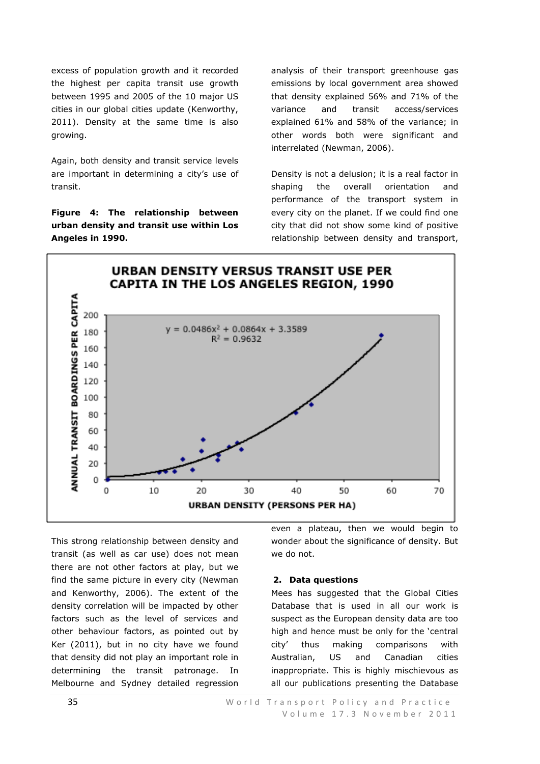excess of population growth and it recorded the highest per capita transit use growth between 1995 and 2005 of the 10 major US cities in our global cities update (Kenworthy, 2011). Density at the same time is also growing.

Again, both density and transit service levels are important in determining a city's use of transit.

**Figure 4: The relationship between urban density and transit use within Los Angeles in 1990.**

analysis of their transport greenhouse gas emissions by local government area showed that density explained 56% and 71% of the variance and transit access/services explained 61% and 58% of the variance; in other words both were significant and interrelated (Newman, 2006).

Density is not a delusion; it is a real factor in shaping the overall orientation and performance of the transport system in every city on the planet. If we could find one city that did not show some kind of positive relationship between density and transport,



This strong relationship between density and transit (as well as car use) does not mean there are not other factors at play, but we find the same picture in every city (Newman and Kenworthy, 2006). The extent of the density correlation will be impacted by other factors such as the level of services and other behaviour factors, as pointed out by Ker (2011), but in no city have we found that density did not play an important role in determining the transit patronage. In Melbourne and Sydney detailed regression even a plateau, then we would begin to wonder about the significance of density. But we do not.

## **2. Data questions**

Mees has suggested that the Global Cities Database that is used in all our work is suspect as the European density data are too high and hence must be only for the 'central city' thus making comparisons with Australian, US and Canadian cities inappropriate. This is highly mischievous as all our publications presenting the Database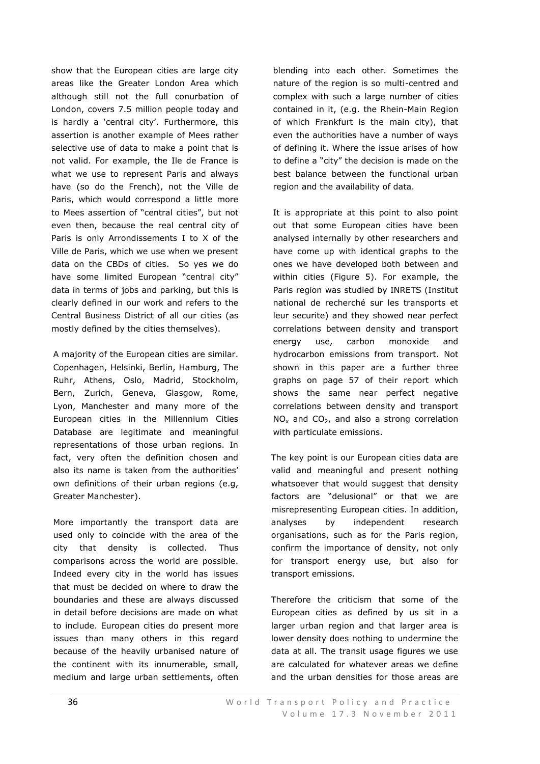show that the European cities are large city areas like the Greater London Area which although still not the full conurbation of London, covers 7.5 million people today and is hardly a 'central city'. Furthermore, this assertion is another example of Mees rather selective use of data to make a point that is not valid. For example, the Ile de France is what we use to represent Paris and always have (so do the French), not the Ville de Paris, which would correspond a little more to Mees assertion of "central cities", but not even then, because the real central city of Paris is only Arrondissements I to X of the Ville de Paris, which we use when we present data on the CBDs of cities. So yes we do have some limited European "central city" data in terms of jobs and parking, but this is clearly defined in our work and refers to the Central Business District of all our cities (as mostly defined by the cities themselves).

A majority of the European cities are similar. Copenhagen, Helsinki, Berlin, Hamburg, The Ruhr, Athens, Oslo, Madrid, Stockholm, Bern, Zurich, Geneva, Glasgow, Rome, Lyon, Manchester and many more of the European cities in the Millennium Cities Database are legitimate and meaningful representations of those urban regions. In fact, very often the definition chosen and also its name is taken from the authorities' own definitions of their urban regions (e.g, Greater Manchester).

More importantly the transport data are used only to coincide with the area of the city that density is collected. Thus comparisons across the world are possible. Indeed every city in the world has issues that must be decided on where to draw the boundaries and these are always discussed in detail before decisions are made on what to include. European cities do present more issues than many others in this regard because of the heavily urbanised nature of the continent with its innumerable, small, medium and large urban settlements, often blending into each other. Sometimes the nature of the region is so multi-centred and complex with such a large number of cities contained in it, (e.g. the Rhein-Main Region of which Frankfurt is the main city), that even the authorities have a number of ways of defining it. Where the issue arises of how to define a "city" the decision is made on the best balance between the functional urban region and the availability of data.

It is appropriate at this point to also point out that some European cities have been analysed internally by other researchers and have come up with identical graphs to the ones we have developed both between and within cities (Figure 5). For example, the Paris region was studied by INRETS (Institut national de recherché sur les transports et leur securite) and they showed near perfect correlations between density and transport energy use, carbon monoxide and hydrocarbon emissions from transport. Not shown in this paper are a further three graphs on page 57 of their report which shows the same near perfect negative correlations between density and transport  $NO<sub>x</sub>$  and  $CO<sub>2</sub>$ , and also a strong correlation with particulate emissions.

The key point is our European cities data are valid and meaningful and present nothing whatsoever that would suggest that density factors are "delusional" or that we are misrepresenting European cities. In addition, analyses by independent research organisations, such as for the Paris region, confirm the importance of density, not only for transport energy use, but also for transport emissions.

Therefore the criticism that some of the European cities as defined by us sit in a larger urban region and that larger area is lower density does nothing to undermine the data at all. The transit usage figures we use are calculated for whatever areas we define and the urban densities for those areas are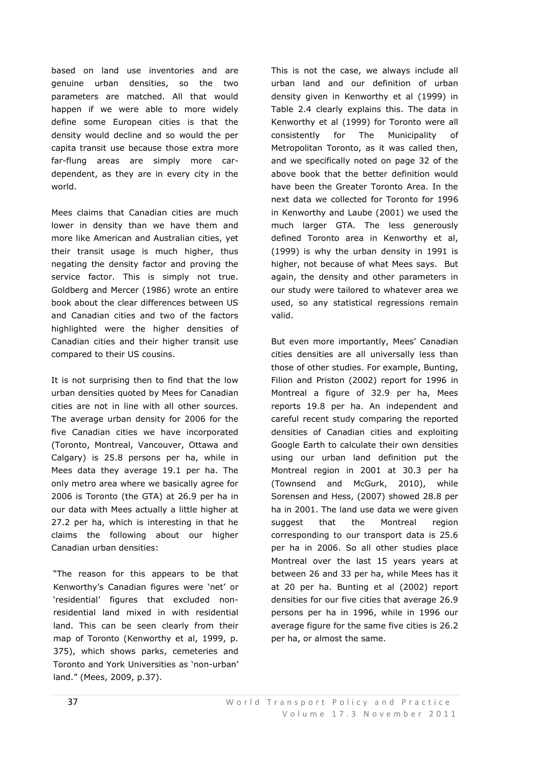based on land use inventories and are genuine urban densities, so the two parameters are matched. All that would happen if we were able to more widely define some European cities is that the density would decline and so would the per capita transit use because those extra more far-flung areas are simply more cardependent, as they are in every city in the world.

Mees claims that Canadian cities are much lower in density than we have them and more like American and Australian cities, yet their transit usage is much higher, thus negating the density factor and proving the service factor. This is simply not true. Goldberg and Mercer (1986) wrote an entire book about the clear differences between US and Canadian cities and two of the factors highlighted were the higher densities of Canadian cities and their higher transit use compared to their US cousins.

It is not surprising then to find that the low urban densities quoted by Mees for Canadian cities are not in line with all other sources. The average urban density for 2006 for the five Canadian cities we have incorporated (Toronto, Montreal, Vancouver, Ottawa and Calgary) is 25.8 persons per ha, while in Mees data they average 19.1 per ha. The only metro area where we basically agree for 2006 is Toronto (the GTA) at 26.9 per ha in our data with Mees actually a little higher at 27.2 per ha, which is interesting in that he claims the following about our higher Canadian urban densities:

"The reason for this appears to be that Kenworthy's Canadian figures were 'net' or ‗residential' figures that excluded nonresidential land mixed in with residential land. This can be seen clearly from their map of Toronto (Kenworthy et al, 1999, p. 375), which shows parks, cemeteries and Toronto and York Universities as 'non-urban' land." (Mees, 2009, p.37).

This is not the case, we always include all urban land and our definition of urban density given in Kenworthy et al (1999) in Table 2.4 clearly explains this. The data in Kenworthy et al (1999) for Toronto were all consistently for The Municipality of Metropolitan Toronto, as it was called then, and we specifically noted on page 32 of the above book that the better definition would have been the Greater Toronto Area. In the next data we collected for Toronto for 1996 in Kenworthy and Laube (2001) we used the much larger GTA. The less generously defined Toronto area in Kenworthy et al, (1999) is why the urban density in 1991 is higher, not because of what Mees says. But again, the density and other parameters in our study were tailored to whatever area we used, so any statistical regressions remain valid.

But even more importantly, Mees' Canadian cities densities are all universally less than those of other studies. For example, Bunting, Filion and Priston (2002) report for 1996 in Montreal a figure of 32.9 per ha, Mees reports 19.8 per ha. An independent and careful recent study comparing the reported densities of Canadian cities and exploiting Google Earth to calculate their own densities using our urban land definition put the Montreal region in 2001 at 30.3 per ha (Townsend and McGurk, 2010), while Sorensen and Hess, (2007) showed 28.8 per ha in 2001. The land use data we were given suggest that the Montreal region corresponding to our transport data is 25.6 per ha in 2006. So all other studies place Montreal over the last 15 years years at between 26 and 33 per ha, while Mees has it at 20 per ha. Bunting et al (2002) report densities for our five cities that average 26.9 persons per ha in 1996, while in 1996 our average figure for the same five cities is 26.2 per ha, or almost the same.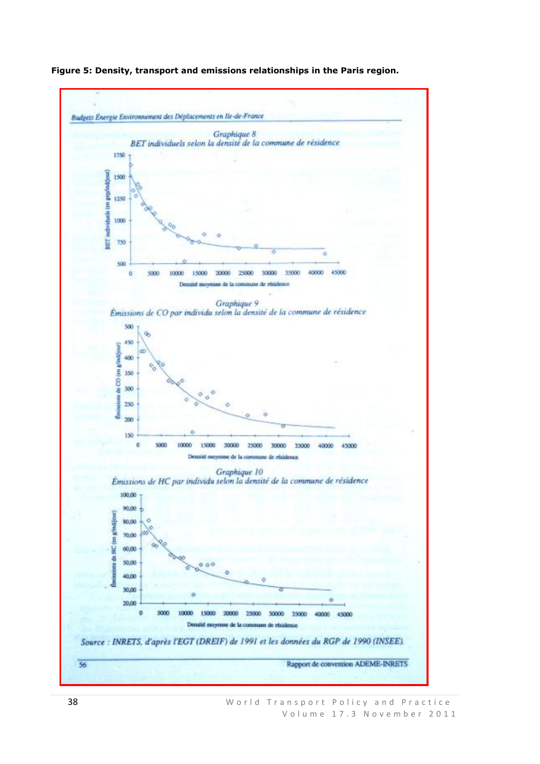

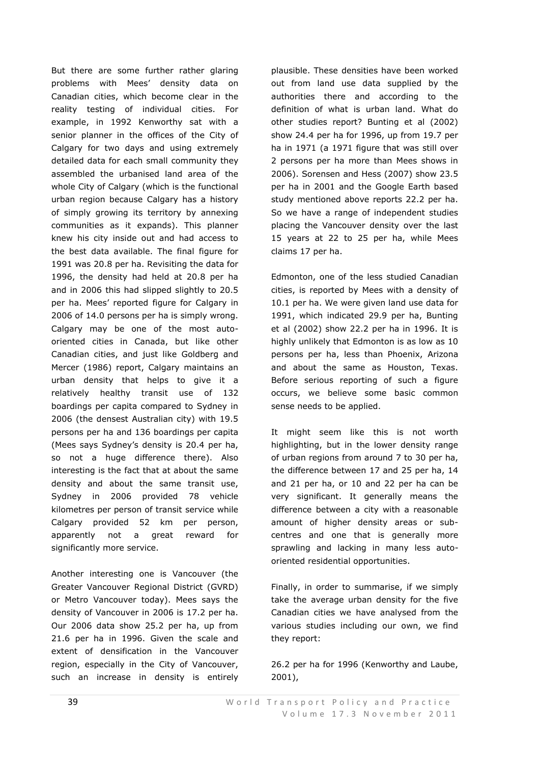But there are some further rather glaring problems with Mees' density data on Canadian cities, which become clear in the reality testing of individual cities. For example, in 1992 Kenworthy sat with a senior planner in the offices of the City of Calgary for two days and using extremely detailed data for each small community they assembled the urbanised land area of the whole City of Calgary (which is the functional urban region because Calgary has a history of simply growing its territory by annexing communities as it expands). This planner knew his city inside out and had access to the best data available. The final figure for 1991 was 20.8 per ha. Revisiting the data for 1996, the density had held at 20.8 per ha and in 2006 this had slipped slightly to 20.5 per ha. Mees' reported figure for Calgary in 2006 of 14.0 persons per ha is simply wrong. Calgary may be one of the most autooriented cities in Canada, but like other Canadian cities, and just like Goldberg and Mercer (1986) report, Calgary maintains an urban density that helps to give it a relatively healthy transit use of 132 boardings per capita compared to Sydney in 2006 (the densest Australian city) with 19.5 persons per ha and 136 boardings per capita (Mees says Sydney's density is 20.4 per ha, so not a huge difference there). Also interesting is the fact that at about the same density and about the same transit use, Sydney in 2006 provided 78 vehicle kilometres per person of transit service while Calgary provided 52 km per person, apparently not a great reward for significantly more service.

Another interesting one is Vancouver (the Greater Vancouver Regional District (GVRD) or Metro Vancouver today). Mees says the density of Vancouver in 2006 is 17.2 per ha. Our 2006 data show 25.2 per ha, up from 21.6 per ha in 1996. Given the scale and extent of densification in the Vancouver region, especially in the City of Vancouver, such an increase in density is entirely

plausible. These densities have been worked out from land use data supplied by the authorities there and according to the definition of what is urban land. What do other studies report? Bunting et al (2002) show 24.4 per ha for 1996, up from 19.7 per ha in 1971 (a 1971 figure that was still over 2 persons per ha more than Mees shows in 2006). Sorensen and Hess (2007) show 23.5 per ha in 2001 and the Google Earth based study mentioned above reports 22.2 per ha. So we have a range of independent studies placing the Vancouver density over the last 15 years at 22 to 25 per ha, while Mees claims 17 per ha.

Edmonton, one of the less studied Canadian cities, is reported by Mees with a density of 10.1 per ha. We were given land use data for 1991, which indicated 29.9 per ha, Bunting et al (2002) show 22.2 per ha in 1996. It is highly unlikely that Edmonton is as low as 10 persons per ha, less than Phoenix, Arizona and about the same as Houston, Texas. Before serious reporting of such a figure occurs, we believe some basic common sense needs to be applied.

It might seem like this is not worth highlighting, but in the lower density range of urban regions from around 7 to 30 per ha, the difference between 17 and 25 per ha, 14 and 21 per ha, or 10 and 22 per ha can be very significant. It generally means the difference between a city with a reasonable amount of higher density areas or subcentres and one that is generally more sprawling and lacking in many less autooriented residential opportunities.

Finally, in order to summarise, if we simply take the average urban density for the five Canadian cities we have analysed from the various studies including our own, we find they report:

26.2 per ha for 1996 (Kenworthy and Laube, 2001),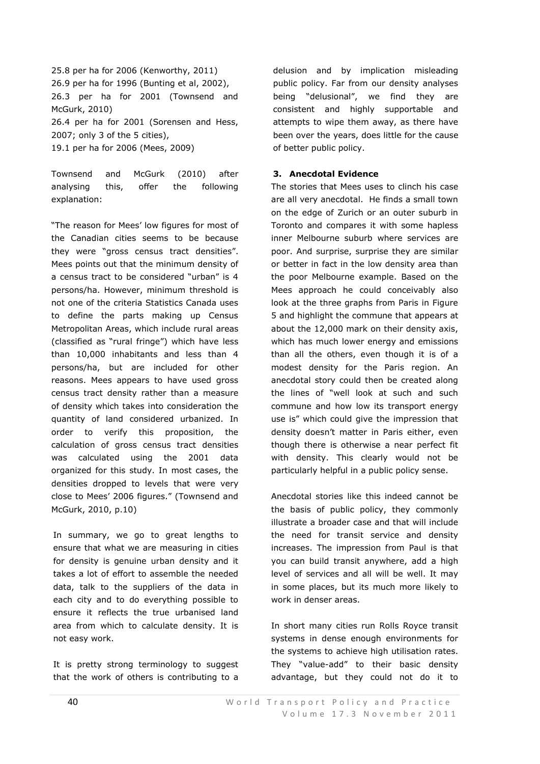25.8 per ha for 2006 (Kenworthy, 2011) 26.9 per ha for 1996 (Bunting et al, 2002), 26.3 per ha for 2001 (Townsend and McGurk, 2010) 26.4 per ha for 2001 (Sorensen and Hess, 2007; only 3 of the 5 cities), 19.1 per ha for 2006 (Mees, 2009)

Townsend and McGurk (2010) after analysing this, offer the following explanation:

"The reason for Mees' low figures for most of the Canadian cities seems to be because they were "gross census tract densities". Mees points out that the minimum density of a census tract to be considered "urban" is 4 persons/ha. However, minimum threshold is not one of the criteria Statistics Canada uses to define the parts making up Census Metropolitan Areas, which include rural areas (classified as "rural fringe") which have less than 10,000 inhabitants and less than 4 persons/ha, but are included for other reasons. Mees appears to have used gross census tract density rather than a measure of density which takes into consideration the quantity of land considered urbanized. In order to verify this proposition, the calculation of gross census tract densities was calculated using the 2001 data organized for this study. In most cases, the densities dropped to levels that were very close to Mees' 2006 figures." (Townsend and McGurk, 2010, p.10)

In summary, we go to great lengths to ensure that what we are measuring in cities for density is genuine urban density and it takes a lot of effort to assemble the needed data, talk to the suppliers of the data in each city and to do everything possible to ensure it reflects the true urbanised land area from which to calculate density. It is not easy work.

It is pretty strong terminology to suggest that the work of others is contributing to a delusion and by implication misleading public policy. Far from our density analyses being "delusional", we find they are consistent and highly supportable and attempts to wipe them away, as there have been over the years, does little for the cause of better public policy.

## **3. Anecdotal Evidence**

The stories that Mees uses to clinch his case are all very anecdotal. He finds a small town on the edge of Zurich or an outer suburb in Toronto and compares it with some hapless inner Melbourne suburb where services are poor. And surprise, surprise they are similar or better in fact in the low density area than the poor Melbourne example. Based on the Mees approach he could conceivably also look at the three graphs from Paris in Figure 5 and highlight the commune that appears at about the 12,000 mark on their density axis, which has much lower energy and emissions than all the others, even though it is of a modest density for the Paris region. An anecdotal story could then be created along the lines of "well look at such and such commune and how low its transport energy use is" which could give the impression that density doesn't matter in Paris either, even though there is otherwise a near perfect fit with density. This clearly would not be particularly helpful in a public policy sense.

Anecdotal stories like this indeed cannot be the basis of public policy, they commonly illustrate a broader case and that will include the need for transit service and density increases. The impression from Paul is that you can build transit anywhere, add a high level of services and all will be well. It may in some places, but its much more likely to work in denser areas.

In short many cities run Rolls Royce transit systems in dense enough environments for the systems to achieve high utilisation rates. They "value-add" to their basic density advantage, but they could not do it to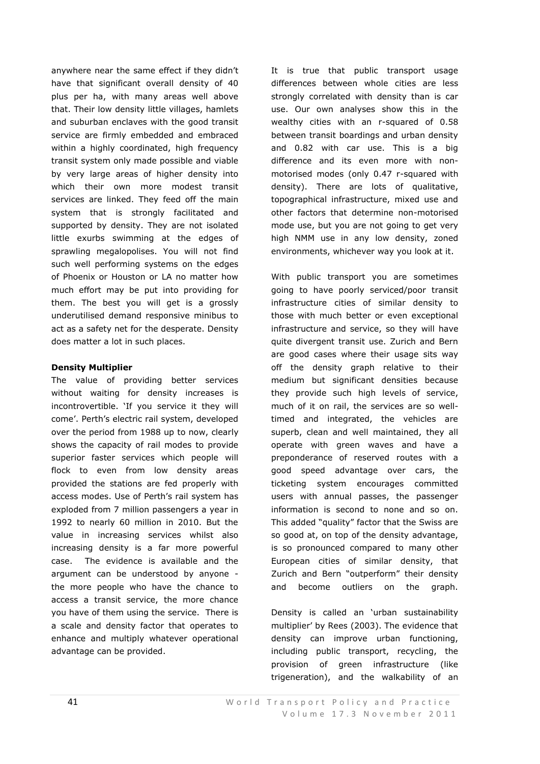anywhere near the same effect if they didn't have that significant overall density of 40 plus per ha, with many areas well above that. Their low density little villages, hamlets and suburban enclaves with the good transit service are firmly embedded and embraced within a highly coordinated, high frequency transit system only made possible and viable by very large areas of higher density into which their own more modest transit services are linked. They feed off the main system that is strongly facilitated and supported by density. They are not isolated little exurbs swimming at the edges of sprawling megalopolises. You will not find such well performing systems on the edges of Phoenix or Houston or LA no matter how much effort may be put into providing for them. The best you will get is a grossly underutilised demand responsive minibus to act as a safety net for the desperate. Density does matter a lot in such places.

## **Density Multiplier**

The value of providing better services without waiting for density increases is incontrovertible. 'If you service it they will come'. Perth's electric rail system, developed over the period from 1988 up to now, clearly shows the capacity of rail modes to provide superior faster services which people will flock to even from low density areas provided the stations are fed properly with access modes. Use of Perth's rail system has exploded from 7 million passengers a year in 1992 to nearly 60 million in 2010. But the value in increasing services whilst also increasing density is a far more powerful case. The evidence is available and the argument can be understood by anyone the more people who have the chance to access a transit service, the more chance you have of them using the service. There is a scale and density factor that operates to enhance and multiply whatever operational advantage can be provided.

It is true that public transport usage differences between whole cities are less strongly correlated with density than is car use. Our own analyses show this in the wealthy cities with an r-squared of 0.58 between transit boardings and urban density and 0.82 with car use. This is a big difference and its even more with nonmotorised modes (only 0.47 r-squared with density). There are lots of qualitative, topographical infrastructure, mixed use and other factors that determine non-motorised mode use, but you are not going to get very high NMM use in any low density, zoned environments, whichever way you look at it.

With public transport you are sometimes going to have poorly serviced/poor transit infrastructure cities of similar density to those with much better or even exceptional infrastructure and service, so they will have quite divergent transit use. Zurich and Bern are good cases where their usage sits way off the density graph relative to their medium but significant densities because they provide such high levels of service, much of it on rail, the services are so welltimed and integrated, the vehicles are superb, clean and well maintained, they all operate with green waves and have a preponderance of reserved routes with a good speed advantage over cars, the ticketing system encourages committed users with annual passes, the passenger information is second to none and so on. This added "quality" factor that the Swiss are so good at, on top of the density advantage, is so pronounced compared to many other European cities of similar density, that Zurich and Bern "outperform" their density and become outliers on the graph.

Density is called an 'urban sustainability multiplier' by Rees (2003). The evidence that density can improve urban functioning, including public transport, recycling, the provision of green infrastructure (like trigeneration), and the walkability of an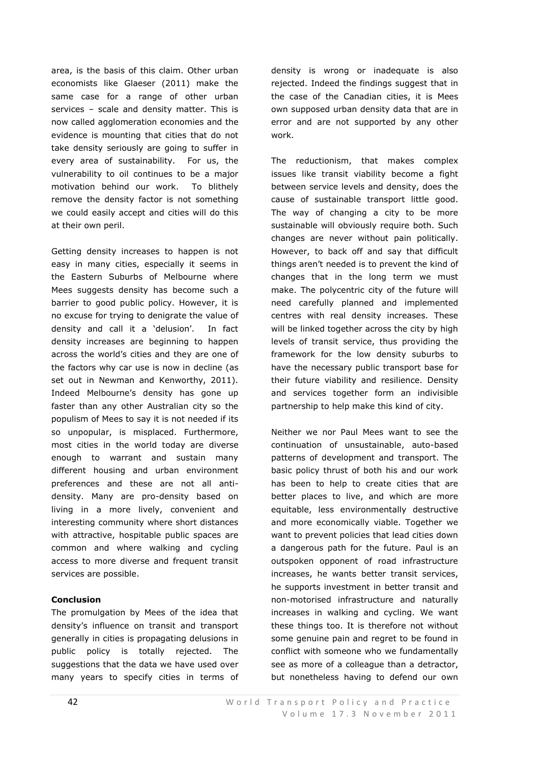area, is the basis of this claim. Other urban economists like Glaeser (2011) make the same case for a range of other urban services – scale and density matter. This is now called agglomeration economies and the evidence is mounting that cities that do not take density seriously are going to suffer in every area of sustainability. For us, the vulnerability to oil continues to be a major motivation behind our work. To blithely remove the density factor is not something we could easily accept and cities will do this at their own peril.

Getting density increases to happen is not easy in many cities, especially it seems in the Eastern Suburbs of Melbourne where Mees suggests density has become such a barrier to good public policy. However, it is no excuse for trying to denigrate the value of density and call it a 'delusion'. In fact density increases are beginning to happen across the world's cities and they are one of the factors why car use is now in decline (as set out in Newman and Kenworthy, 2011). Indeed Melbourne's density has gone up faster than any other Australian city so the populism of Mees to say it is not needed if its so unpopular, is misplaced. Furthermore, most cities in the world today are diverse enough to warrant and sustain many different housing and urban environment preferences and these are not all antidensity. Many are pro-density based on living in a more lively, convenient and interesting community where short distances with attractive, hospitable public spaces are common and where walking and cycling access to more diverse and frequent transit services are possible.

## **Conclusion**

The promulgation by Mees of the idea that density's influence on transit and transport generally in cities is propagating delusions in public policy is totally rejected. The suggestions that the data we have used over many years to specify cities in terms of

density is wrong or inadequate is also rejected. Indeed the findings suggest that in the case of the Canadian cities, it is Mees own supposed urban density data that are in error and are not supported by any other work.

The reductionism, that makes complex issues like transit viability become a fight between service levels and density, does the cause of sustainable transport little good. The way of changing a city to be more sustainable will obviously require both. Such changes are never without pain politically. However, to back off and say that difficult things aren't needed is to prevent the kind of changes that in the long term we must make. The polycentric city of the future will need carefully planned and implemented centres with real density increases. These will be linked together across the city by high levels of transit service, thus providing the framework for the low density suburbs to have the necessary public transport base for their future viability and resilience. Density and services together form an indivisible partnership to help make this kind of city.

Neither we nor Paul Mees want to see the continuation of unsustainable, auto-based patterns of development and transport. The basic policy thrust of both his and our work has been to help to create cities that are better places to live, and which are more equitable, less environmentally destructive and more economically viable. Together we want to prevent policies that lead cities down a dangerous path for the future. Paul is an outspoken opponent of road infrastructure increases, he wants better transit services, he supports investment in better transit and non-motorised infrastructure and naturally increases in walking and cycling. We want these things too. It is therefore not without some genuine pain and regret to be found in conflict with someone who we fundamentally see as more of a colleague than a detractor, but nonetheless having to defend our own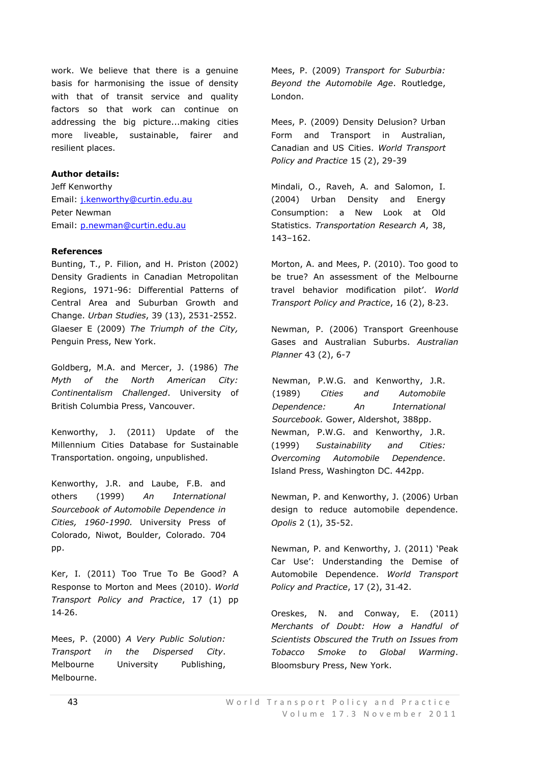work. We believe that there is a genuine basis for harmonising the issue of density with that of transit service and quality factors so that work can continue on addressing the big picture...making cities more liveable, sustainable, fairer and resilient places.

# **Author details:**

Jeff Kenworthy Email: [j.kenworthy@curtin.edu.au](mailto:j.kenworthy@curtin.edu.au) Peter Newman Email: [p.newman@curtin.edu.au](mailto:p.newman@curtin.edu.au)

## **References**

Bunting, T., P. Filion, and H. Priston (2002) Density Gradients in Canadian Metropolitan Regions, 1971-96: Differential Patterns of Central Area and Suburban Growth and Change. *Urban Studies*, 39 (13), 2531-2552. Glaeser E (2009) *The Triumph of the City,* Penguin Press, New York.

Goldberg, M.A. and Mercer, J. (1986) *The Myth of the North American City: Continentalism Challenged*. University of British Columbia Press, Vancouver.

Kenworthy, J. (2011) Update of the Millennium Cities Database for Sustainable Transportation. ongoing, unpublished.

Kenworthy, J.R. and Laube, F.B. and others (1999) *An International Sourcebook of Automobile Dependence in Cities, 1960-1990.* University Press of Colorado, Niwot, Boulder, Colorado. 704 pp.

Ker, I. (2011) Too True To Be Good? A Response to Morton and Mees (2010). *World Transport Policy and Practice*, 17 (1) pp 14‐26.

Mees, P. (2000) *A Very Public Solution: Transport in the Dispersed City*. Melbourne University Publishing, Melbourne.

Mees, P. (2009) *Transport for Suburbia: Beyond the Automobile Age*. Routledge, London.

Mees, P. (2009) Density Delusion? Urban Form and Transport in Australian, Canadian and US Cities. *World Transport Policy and Practice* 15 (2), 29-39

Mindali, O., Raveh, A. and Salomon, I. (2004) Urban Density and Energy Consumption: a New Look at Old Statistics. *Transportation Research A*, 38, 143–162.

Morton, A. and Mees, P. (2010). Too good to be true? An assessment of the Melbourne travel behavior modification pilot'. *World Transport Policy and Practice*, 16 (2), 8‐23.

Newman, P. (2006) Transport Greenhouse Gases and Australian Suburbs. *Australian Planner* 43 (2), 6-7

Newman, P.W.G. and Kenworthy, J.R. (1989) *Cities and Automobile Dependence: An International Sourcebook.* Gower, Aldershot, 388pp. Newman, P.W.G. and Kenworthy, J.R. (1999) *Sustainability and Cities: Overcoming Automobile Dependence*. Island Press, Washington DC. 442pp.

Newman, P. and Kenworthy, J. (2006) Urban design to reduce automobile dependence. *Opolis* 2 (1), 35-52.

Newman, P. and Kenworthy, J. (2011) 'Peak Car Use': Understanding the Demise of Automobile Dependence. *World Transport Policy and Practice*, 17 (2), 31‐42.

Oreskes, N. and Conway, E. (2011) *Merchants of Doubt: How a Handful of Scientists Obscured the Truth on Issues from Tobacco Smoke to Global Warming*. Bloomsbury Press, New York.